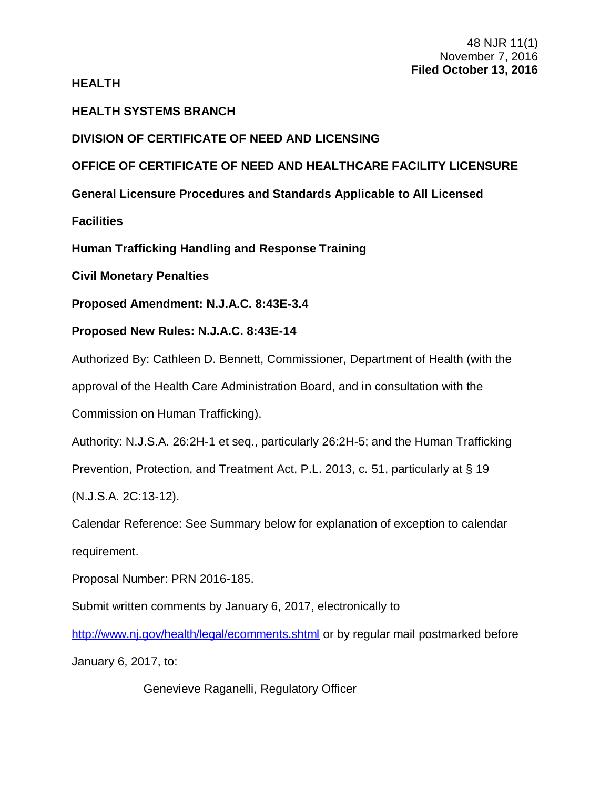# **HEALTH**

# **HEALTH SYSTEMS BRANCH**

# **DIVISION OF CERTIFICATE OF NEED AND LICENSING**

# **OFFICE OF CERTIFICATE OF NEED AND HEALTHCARE FACILITY LICENSURE**

**General Licensure Procedures and Standards Applicable to All Licensed** 

**Facilities**

**Human Trafficking Handling and Response Training**

**Civil Monetary Penalties**

**Proposed Amendment: N.J.A.C. 8:43E-3.4**

**Proposed New Rules: N.J.A.C. 8:43E-14**

Authorized By: Cathleen D. Bennett, Commissioner, Department of Health (with the

approval of the Health Care Administration Board, and in consultation with the

Commission on Human Trafficking).

Authority: N.J.S.A. 26:2H-1 et seq., particularly 26:2H-5; and the Human Trafficking

Prevention, Protection, and Treatment Act, P.L. 2013, c. 51, particularly at § 19

(N.J.S.A. 2C:13-12).

Calendar Reference: See Summary below for explanation of exception to calendar requirement.

Proposal Number: PRN 2016-185.

Submit written comments by January 6, 2017, electronically to

<http://www.nj.gov/health/legal/ecomments.shtml> or by regular mail postmarked before

January 6, 2017, to:

Genevieve Raganelli, Regulatory Officer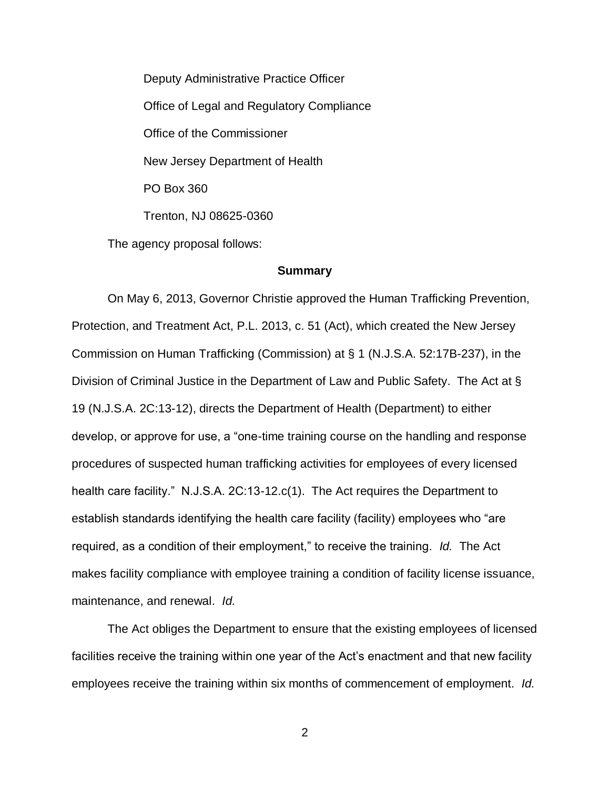Deputy Administrative Practice Officer Office of Legal and Regulatory Compliance Office of the Commissioner New Jersey Department of Health PO Box 360 Trenton, NJ 08625-0360

The agency proposal follows:

### **Summary**

On May 6, 2013, Governor Christie approved the Human Trafficking Prevention, Protection, and Treatment Act, P.L. 2013, c. 51 (Act), which created the New Jersey Commission on Human Trafficking (Commission) at § 1 (N.J.S.A. 52:17B-237), in the Division of Criminal Justice in the Department of Law and Public Safety. The Act at § 19 (N.J.S.A. 2C:13-12), directs the Department of Health (Department) to either develop, or approve for use, a "one-time training course on the handling and response procedures of suspected human trafficking activities for employees of every licensed health care facility." N.J.S.A. 2C:13-12.c(1). The Act requires the Department to establish standards identifying the health care facility (facility) employees who "are required, as a condition of their employment," to receive the training. *Id.* The Act makes facility compliance with employee training a condition of facility license issuance, maintenance, and renewal. *Id.*

The Act obliges the Department to ensure that the existing employees of licensed facilities receive the training within one year of the Act's enactment and that new facility employees receive the training within six months of commencement of employment. *Id.*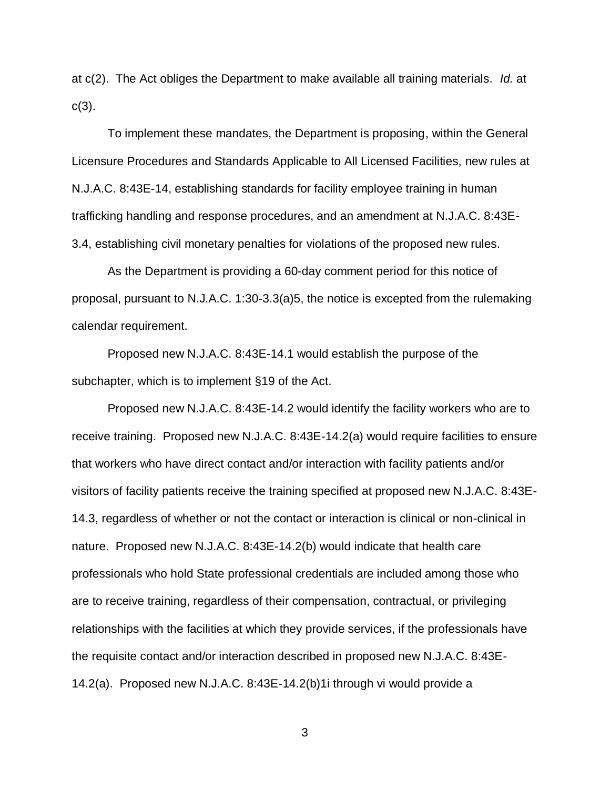at c(2). The Act obliges the Department to make available all training materials. *Id.* at  $c(3)$ .

To implement these mandates, the Department is proposing, within the General Licensure Procedures and Standards Applicable to All Licensed Facilities, new rules at N.J.A.C. 8:43E-14, establishing standards for facility employee training in human trafficking handling and response procedures, and an amendment at N.J.A.C. 8:43E-3.4, establishing civil monetary penalties for violations of the proposed new rules.

As the Department is providing a 60-day comment period for this notice of proposal, pursuant to N.J.A.C. 1:30-3.3(a)5, the notice is excepted from the rulemaking calendar requirement.

Proposed new N.J.A.C. 8:43E-14.1 would establish the purpose of the subchapter, which is to implement §19 of the Act.

Proposed new N.J.A.C. 8:43E-14.2 would identify the facility workers who are to receive training. Proposed new N.J.A.C. 8:43E-14.2(a) would require facilities to ensure that workers who have direct contact and/or interaction with facility patients and/or visitors of facility patients receive the training specified at proposed new N.J.A.C. 8:43E-14.3, regardless of whether or not the contact or interaction is clinical or non-clinical in nature. Proposed new N.J.A.C. 8:43E-14.2(b) would indicate that health care professionals who hold State professional credentials are included among those who are to receive training, regardless of their compensation, contractual, or privileging relationships with the facilities at which they provide services, if the professionals have the requisite contact and/or interaction described in proposed new N.J.A.C. 8:43E-14.2(a). Proposed new N.J.A.C. 8:43E-14.2(b)1i through vi would provide a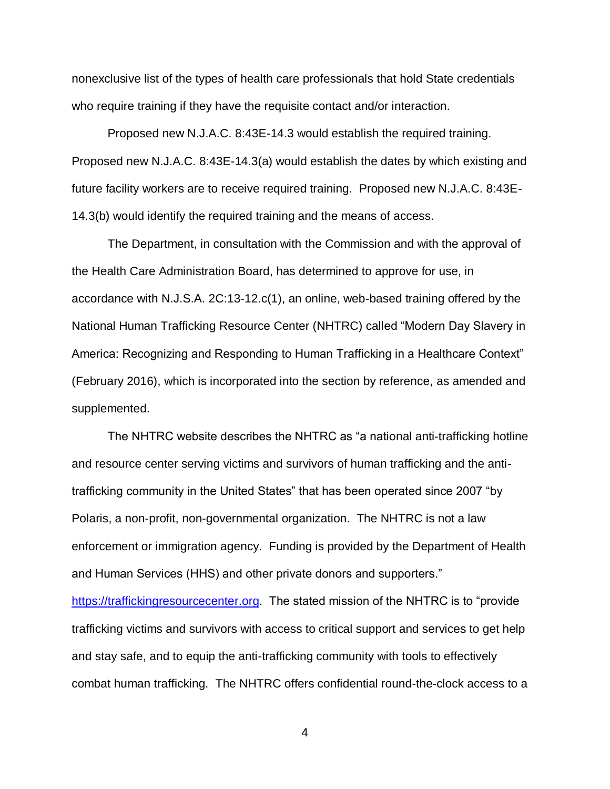nonexclusive list of the types of health care professionals that hold State credentials who require training if they have the requisite contact and/or interaction.

Proposed new N.J.A.C. 8:43E-14.3 would establish the required training. Proposed new N.J.A.C. 8:43E-14.3(a) would establish the dates by which existing and future facility workers are to receive required training. Proposed new N.J.A.C. 8:43E-14.3(b) would identify the required training and the means of access.

The Department, in consultation with the Commission and with the approval of the Health Care Administration Board, has determined to approve for use, in accordance with N.J.S.A. 2C:13-12.c(1), an online, web-based training offered by the National Human Trafficking Resource Center (NHTRC) called "Modern Day Slavery in America: Recognizing and Responding to Human Trafficking in a Healthcare Context" (February 2016), which is incorporated into the section by reference, as amended and supplemented.

The NHTRC website describes the NHTRC as "a national anti-trafficking hotline and resource center serving victims and survivors of human trafficking and the antitrafficking community in the United States" that has been operated since 2007 "by Polaris, a non-profit, non-governmental organization. The NHTRC is not a law enforcement or immigration agency. Funding is provided by the Department of Health and Human Services (HHS) and other private donors and supporters." [https://traffickingresourcecenter.org.](https://traffickingresourcecenter.org/) The stated mission of the NHTRC is to "provide trafficking victims and survivors with access to critical support and services to get help and stay safe, and to equip the anti-trafficking community with tools to effectively

4

combat human trafficking. The NHTRC offers confidential round-the-clock access to a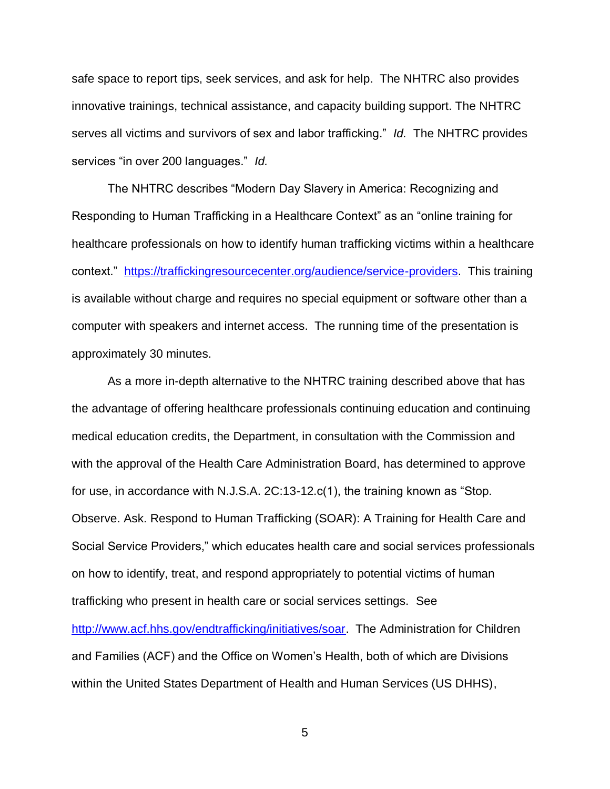safe space to report tips, seek services, and ask for help. The NHTRC also provides innovative trainings, technical assistance, and capacity building support. The NHTRC serves all victims and survivors of sex and labor trafficking." *Id.* The NHTRC provides services "in over 200 languages." *Id.*

The NHTRC describes "Modern Day Slavery in America: Recognizing and Responding to Human Trafficking in a Healthcare Context" as an "online training for healthcare professionals on how to identify human trafficking victims within a healthcare context." [https://traffickingresourcecenter.org/audience/service-providers.](https://traffickingresourcecenter.org/audience/service-providers) This training is available without charge and requires no special equipment or software other than a computer with speakers and internet access. The running time of the presentation is approximately 30 minutes.

As a more in-depth alternative to the NHTRC training described above that has the advantage of offering healthcare professionals continuing education and continuing medical education credits, the Department, in consultation with the Commission and with the approval of the Health Care Administration Board, has determined to approve for use, in accordance with N.J.S.A. 2C:13-12.c(1), the training known as "Stop. Observe. Ask. Respond to Human Trafficking (SOAR): A Training for Health Care and Social Service Providers," which educates health care and social services professionals on how to identify, treat, and respond appropriately to potential victims of human trafficking who present in health care or social services settings. See [http://www.acf.hhs.gov/endtrafficking/initiatives/soar.](http://www.acf.hhs.gov/endtrafficking/initiatives/soar) The Administration for Children and Families (ACF) and the Office on Women's Health, both of which are Divisions within the United States Department of Health and Human Services (US DHHS),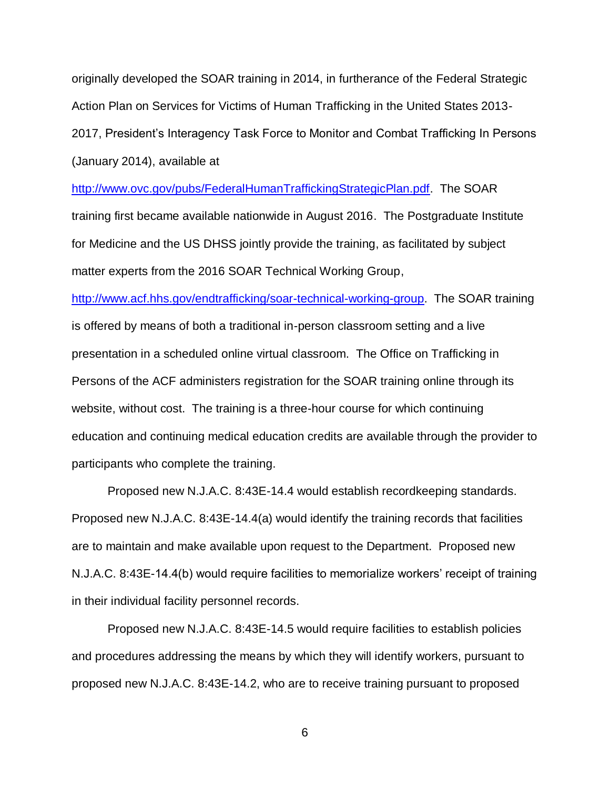originally developed the SOAR training in 2014, in furtherance of the Federal Strategic Action Plan on Services for Victims of Human Trafficking in the United States 2013- 2017, President's Interagency Task Force to Monitor and Combat Trafficking In Persons (January 2014), available at

[http://www.ovc.gov/pubs/FederalHumanTraffickingStrategicPlan.pdf.](http://www.ovc.gov/pubs/FederalHumanTraffickingStrategicPlan.pdf) The SOAR training first became available nationwide in August 2016. The Postgraduate Institute for Medicine and the US DHSS jointly provide the training, as facilitated by subject matter experts from the 2016 SOAR Technical Working Group,

[http://www.acf.hhs.gov/endtrafficking/soar-technical-working-group.](http://www.acf.hhs.gov/endtrafficking/soar-technical-working-group) The SOAR training is offered by means of both a traditional in-person classroom setting and a live presentation in a scheduled online virtual classroom. The Office on Trafficking in Persons of the ACF administers registration for the SOAR training online through its website, without cost. The training is a three-hour course for which continuing education and continuing medical education credits are available through the provider to participants who complete the training.

Proposed new N.J.A.C. 8:43E-14.4 would establish recordkeeping standards. Proposed new N.J.A.C. 8:43E-14.4(a) would identify the training records that facilities are to maintain and make available upon request to the Department. Proposed new N.J.A.C. 8:43E-14.4(b) would require facilities to memorialize workers' receipt of training in their individual facility personnel records.

Proposed new N.J.A.C. 8:43E-14.5 would require facilities to establish policies and procedures addressing the means by which they will identify workers, pursuant to proposed new N.J.A.C. 8:43E-14.2, who are to receive training pursuant to proposed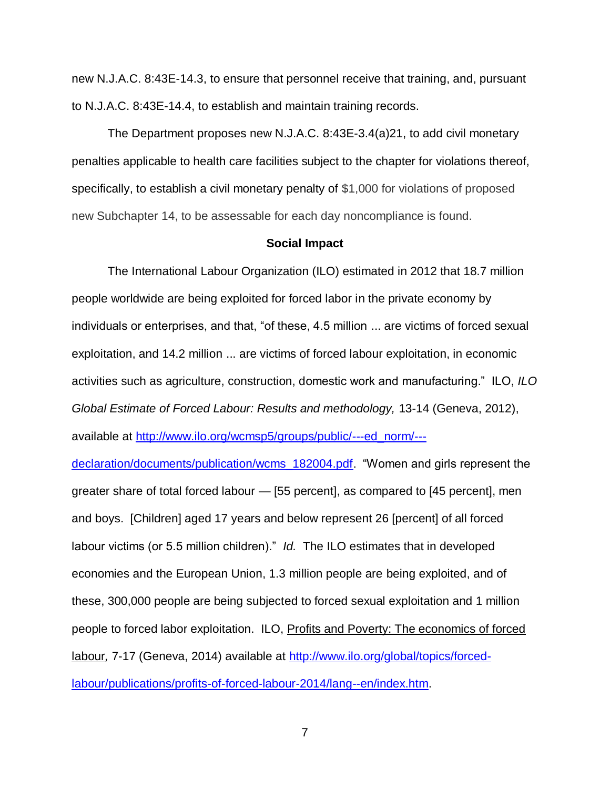new N.J.A.C. 8:43E-14.3, to ensure that personnel receive that training, and, pursuant to N.J.A.C. 8:43E-14.4, to establish and maintain training records.

The Department proposes new N.J.A.C. 8:43E-3.4(a)21, to add civil monetary penalties applicable to health care facilities subject to the chapter for violations thereof, specifically, to establish a civil monetary penalty of \$1,000 for violations of proposed new Subchapter 14, to be assessable for each day noncompliance is found.

## **Social Impact**

The International Labour Organization (ILO) estimated in 2012 that 18.7 million people worldwide are being exploited for forced labor in the private economy by individuals or enterprises, and that, "of these, 4.5 million ... are victims of forced sexual exploitation, and 14.2 million ... are victims of forced labour exploitation, in economic activities such as agriculture, construction, domestic work and manufacturing." ILO, *ILO Global Estimate of Forced Labour: Results and methodology,* 13-14 (Geneva, 2012), available at [http://www.ilo.org/wcmsp5/groups/public/---ed\\_norm/---](http://www.ilo.org/wcmsp5/groups/public/---ed_norm/---declaration/documents/publication/wcms_182004.pdf)

[declaration/documents/publication/wcms\\_182004.pdf.](http://www.ilo.org/wcmsp5/groups/public/---ed_norm/---declaration/documents/publication/wcms_182004.pdf) "Women and girls represent the greater share of total forced labour — [55 percent], as compared to [45 percent], men and boys. [Children] aged 17 years and below represent 26 [percent] of all forced labour victims (or 5.5 million children)." *Id.* The ILO estimates that in developed economies and the European Union, 1.3 million people are being exploited, and of these, 300,000 people are being subjected to forced sexual exploitation and 1 million people to forced labor exploitation. ILO, Profits and Poverty: The economics of forced labour*,* 7-17 (Geneva, 2014) available at [http://www.ilo.org/global/topics/forced](http://www.ilo.org/global/topics/forced-labour/publications/profits-of-forced-labour-2014/lang--en/index.htm)[labour/publications/profits-of-forced-labour-2014/lang--en/index.htm.](http://www.ilo.org/global/topics/forced-labour/publications/profits-of-forced-labour-2014/lang--en/index.htm)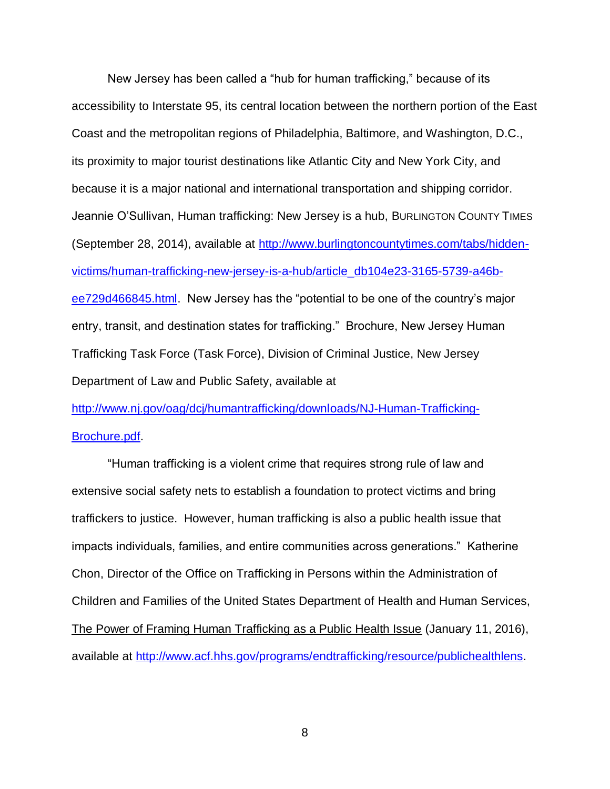New Jersey has been called a "hub for human trafficking," because of its accessibility to Interstate 95, its central location between the northern portion of the East Coast and the metropolitan regions of Philadelphia, Baltimore, and Washington, D.C., its proximity to major tourist destinations like Atlantic City and New York City, and because it is a major national and international transportation and shipping corridor. Jeannie O'Sullivan, Human trafficking: New Jersey is a hub, BURLINGTON COUNTY TIMES (September 28, 2014), available at [http://www.burlingtoncountytimes.com/tabs/hidden](http://www.burlingtoncountytimes.com/tabs/hidden-victims/human-trafficking-new-jersey-is-a-hub/article_db104e23-3165-5739-a46b-ee729d466845.html)[victims/human-trafficking-new-jersey-is-a-hub/article\\_db104e23-3165-5739-a46b](http://www.burlingtoncountytimes.com/tabs/hidden-victims/human-trafficking-new-jersey-is-a-hub/article_db104e23-3165-5739-a46b-ee729d466845.html)[ee729d466845.html.](http://www.burlingtoncountytimes.com/tabs/hidden-victims/human-trafficking-new-jersey-is-a-hub/article_db104e23-3165-5739-a46b-ee729d466845.html) New Jersey has the "potential to be one of the country's major entry, transit, and destination states for trafficking." Brochure, New Jersey Human Trafficking Task Force (Task Force), Division of Criminal Justice, New Jersey Department of Law and Public Safety, available at

[http://www.nj.gov/oag/dcj/humantrafficking/downloads/NJ-Human-Trafficking-](http://www.nj.gov/oag/dcj/humantrafficking/downloads/NJ-Human-Trafficking-Brochure.pdf)[Brochure.pdf.](http://www.nj.gov/oag/dcj/humantrafficking/downloads/NJ-Human-Trafficking-Brochure.pdf)

"Human trafficking is a violent crime that requires strong rule of law and extensive social safety nets to establish a foundation to protect victims and bring traffickers to justice. However, human trafficking is also a public health issue that impacts individuals, families, and entire communities across generations." Katherine Chon, Director of the Office on Trafficking in Persons within the Administration of Children and Families of the United States Department of Health and Human Services, The Power of Framing Human Trafficking as a Public Health Issue (January 11, 2016), available at [http://www.acf.hhs.gov/programs/endtrafficking/resource/publichealthlens.](http://www.acf.hhs.gov/programs/endtrafficking/resource/publichealthlens)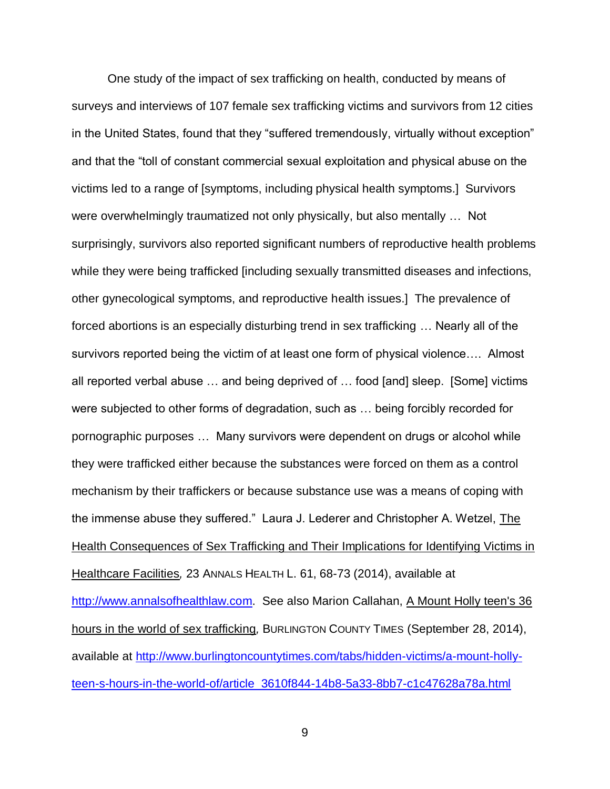One study of the impact of sex trafficking on health, conducted by means of surveys and interviews of 107 female sex trafficking victims and survivors from 12 cities in the United States, found that they "suffered tremendously, virtually without exception" and that the "toll of constant commercial sexual exploitation and physical abuse on the victims led to a range of [symptoms, including physical health symptoms.] Survivors were overwhelmingly traumatized not only physically, but also mentally … Not surprisingly, survivors also reported significant numbers of reproductive health problems while they were being trafficked [including sexually transmitted diseases and infections, other gynecological symptoms, and reproductive health issues.] The prevalence of forced abortions is an especially disturbing trend in sex trafficking … Nearly all of the survivors reported being the victim of at least one form of physical violence…. Almost all reported verbal abuse … and being deprived of … food [and] sleep. [Some] victims were subjected to other forms of degradation, such as … being forcibly recorded for pornographic purposes … Many survivors were dependent on drugs or alcohol while they were trafficked either because the substances were forced on them as a control mechanism by their traffickers or because substance use was a means of coping with the immense abuse they suffered." Laura J. Lederer and Christopher A. Wetzel, The Health Consequences of Sex Trafficking and Their Implications for Identifying Victims in Healthcare Facilities*,* 23 ANNALS HEALTH L. 61, 68-73 (2014), available at [http://www.annalsofhealthlaw.com.](http://www.annalsofhealthlaw.com/) See also Marion Callahan, A Mount Holly teen's 36 hours in the world of sex trafficking*,* BURLINGTON COUNTY TIMES (September 28, 2014), available at [http://www.burlingtoncountytimes.com/tabs/hidden-victims/a-mount-holly](http://www.burlingtoncountytimes.com/tabs/hidden-victims/a-mount-holly-teen-s-hours-in-the-world-of/article_3610f844-14b8-5a33-8bb7-c1c47628a78a.html)[teen-s-hours-in-the-world-of/article\\_3610f844-14b8-5a33-8bb7-c1c47628a78a.html](http://www.burlingtoncountytimes.com/tabs/hidden-victims/a-mount-holly-teen-s-hours-in-the-world-of/article_3610f844-14b8-5a33-8bb7-c1c47628a78a.html)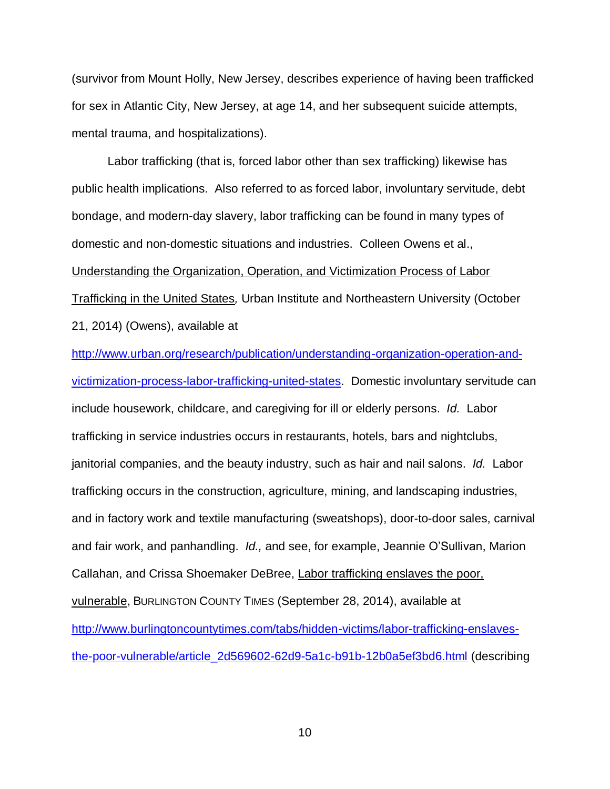(survivor from Mount Holly, New Jersey, describes experience of having been trafficked for sex in Atlantic City, New Jersey, at age 14, and her subsequent suicide attempts, mental trauma, and hospitalizations).

Labor trafficking (that is, forced labor other than sex trafficking) likewise has public health implications. Also referred to as forced labor, involuntary servitude, debt bondage, and modern-day slavery, labor trafficking can be found in many types of domestic and non-domestic situations and industries. Colleen Owens et al., Understanding the Organization, Operation, and Victimization Process of Labor Trafficking in the United States*,* Urban Institute and Northeastern University (October 21, 2014) (Owens), available at

[http://www.urban.org/research/publication/understanding-organization-operation-and](http://www.urban.org/research/publication/understanding-organization-operation-and-victimization-process-labor-trafficking-united-states)[victimization-process-labor-trafficking-united-states.](http://www.urban.org/research/publication/understanding-organization-operation-and-victimization-process-labor-trafficking-united-states) Domestic involuntary servitude can include housework, childcare, and caregiving for ill or elderly persons. *Id.* Labor trafficking in service industries occurs in restaurants, hotels, bars and nightclubs, janitorial companies, and the beauty industry, such as hair and nail salons. *Id.* Labor trafficking occurs in the construction, agriculture, mining, and landscaping industries, and in factory work and textile manufacturing (sweatshops), door-to-door sales, carnival and fair work, and panhandling. *Id.,* and see, for example, Jeannie O'Sullivan, Marion Callahan, and Crissa Shoemaker DeBree, Labor trafficking enslaves the poor, vulnerable, BURLINGTON COUNTY TIMES (September 28, 2014), available at [http://www.burlingtoncountytimes.com/tabs/hidden-victims/labor-trafficking-enslaves](http://www.burlingtoncountytimes.com/tabs/hidden-victims/labor-trafficking-enslaves-the-poor-vulnerable/article_2d569602-62d9-5a1c-b91b-12b0a5ef3bd6.html)[the-poor-vulnerable/article\\_2d569602-62d9-5a1c-b91b-12b0a5ef3bd6.html](http://www.burlingtoncountytimes.com/tabs/hidden-victims/labor-trafficking-enslaves-the-poor-vulnerable/article_2d569602-62d9-5a1c-b91b-12b0a5ef3bd6.html) (describing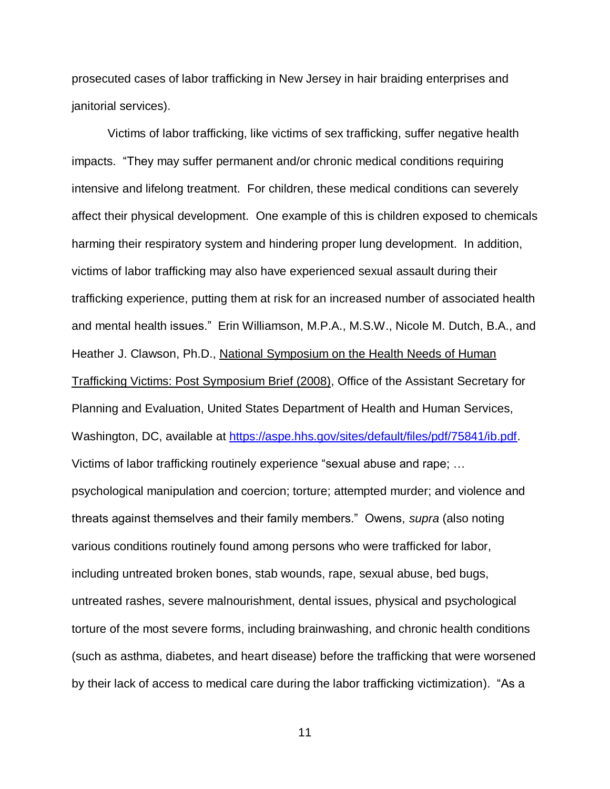prosecuted cases of labor trafficking in New Jersey in hair braiding enterprises and janitorial services).

Victims of labor trafficking, like victims of sex trafficking, suffer negative health impacts. "They may suffer permanent and/or chronic medical conditions requiring intensive and lifelong treatment. For children, these medical conditions can severely affect their physical development. One example of this is children exposed to chemicals harming their respiratory system and hindering proper lung development. In addition, victims of labor trafficking may also have experienced sexual assault during their trafficking experience, putting them at risk for an increased number of associated health and mental health issues." Erin Williamson, M.P.A., M.S.W., Nicole M. Dutch, B.A., and Heather J. Clawson, Ph.D., National Symposium on the Health Needs of Human Trafficking Victims: Post Symposium Brief (2008), Office of the Assistant Secretary for Planning and Evaluation, United States Department of Health and Human Services, Washington, DC, available at [https://aspe.hhs.gov/sites/default/files/pdf/75841/ib.pdf.](https://aspe.hhs.gov/sites/default/files/pdf/75841/ib.pdf) Victims of labor trafficking routinely experience "sexual abuse and rape; … psychological manipulation and coercion; torture; attempted murder; and violence and threats against themselves and their family members." Owens, *supra* (also noting various conditions routinely found among persons who were trafficked for labor, including untreated broken bones, stab wounds, rape, sexual abuse, bed bugs, untreated rashes, severe malnourishment, dental issues, physical and psychological torture of the most severe forms, including brainwashing, and chronic health conditions (such as asthma, diabetes, and heart disease) before the trafficking that were worsened by their lack of access to medical care during the labor trafficking victimization). "As a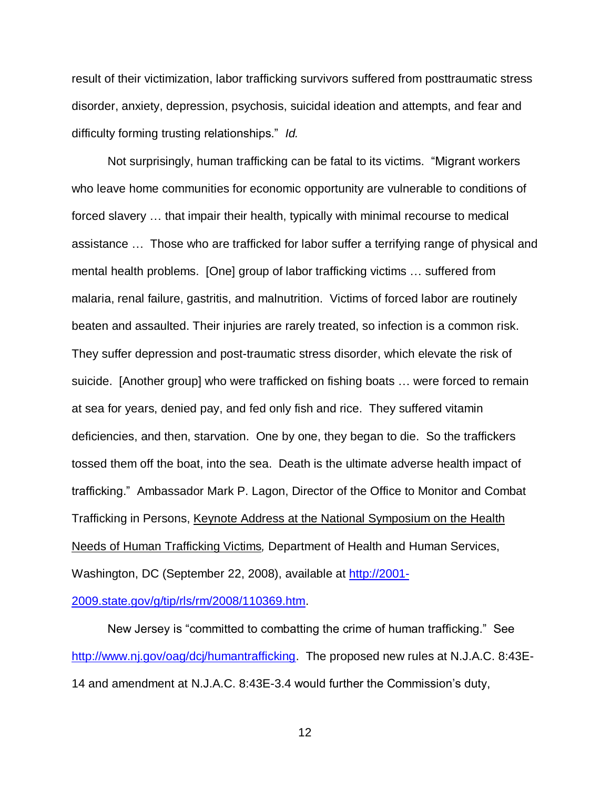result of their victimization, labor trafficking survivors suffered from posttraumatic stress disorder, anxiety, depression, psychosis, suicidal ideation and attempts, and fear and difficulty forming trusting relationships." *Id.*

Not surprisingly, human trafficking can be fatal to its victims. "Migrant workers who leave home communities for economic opportunity are vulnerable to conditions of forced slavery … that impair their health, typically with minimal recourse to medical assistance … Those who are trafficked for labor suffer a terrifying range of physical and mental health problems. [One] group of labor trafficking victims … suffered from malaria, renal failure, gastritis, and malnutrition. Victims of forced labor are routinely beaten and assaulted. Their injuries are rarely treated, so infection is a common risk. They suffer depression and post-traumatic stress disorder, which elevate the risk of suicide. [Another group] who were trafficked on fishing boats … were forced to remain at sea for years, denied pay, and fed only fish and rice. They suffered vitamin deficiencies, and then, starvation. One by one, they began to die. So the traffickers tossed them off the boat, into the sea. Death is the ultimate adverse health impact of trafficking." Ambassador Mark P. Lagon, Director of the Office to Monitor and Combat Trafficking in Persons, Keynote Address at the National Symposium on the Health Needs of Human Trafficking Victims*,* Department of Health and Human Services, Washington, DC (September 22, 2008), available at [http://2001-](http://2001-2009.state.gov/g/tip/rls/rm/2008/110369.htm)

[2009.state.gov/g/tip/rls/rm/2008/110369.htm.](http://2001-2009.state.gov/g/tip/rls/rm/2008/110369.htm)

New Jersey is "committed to combatting the crime of human trafficking." See [http://www.nj.gov/oag/dcj/humantrafficking.](http://www.nj.gov/oag/dcj/humantrafficking) The proposed new rules at N.J.A.C. 8:43E-14 and amendment at N.J.A.C. 8:43E-3.4 would further the Commission's duty,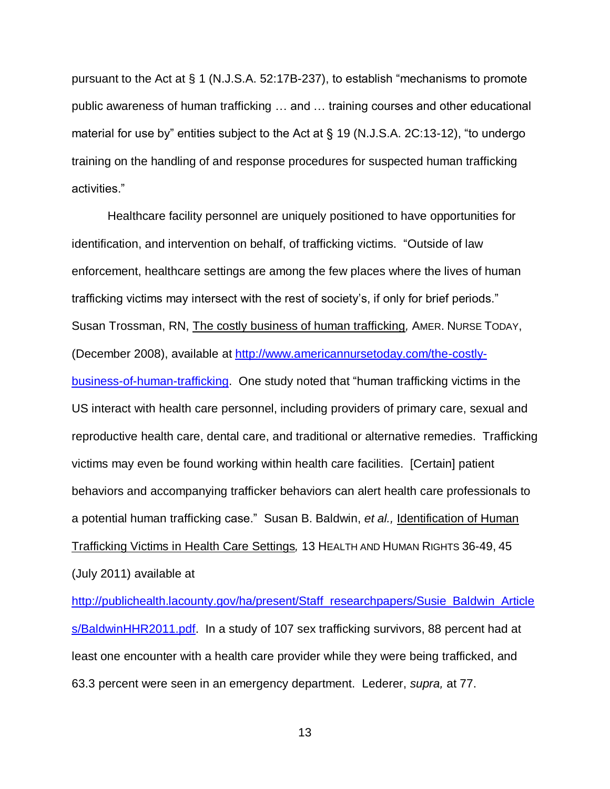pursuant to the Act at § 1 (N.J.S.A. 52:17B-237), to establish "mechanisms to promote public awareness of human trafficking … and … training courses and other educational material for use by" entities subject to the Act at § 19 (N.J.S.A. 2C:13-12), "to undergo training on the handling of and response procedures for suspected human trafficking activities."

Healthcare facility personnel are uniquely positioned to have opportunities for identification, and intervention on behalf, of trafficking victims. "Outside of law enforcement, healthcare settings are among the few places where the lives of human trafficking victims may intersect with the rest of society's, if only for brief periods." Susan Trossman, RN, The costly business of human trafficking*,* AMER. NURSE TODAY, (December 2008), available at [http://www.americannursetoday.com/the-costly](http://www.americannursetoday.com/the-costly-business-of-human-trafficking)[business-of-human-trafficking.](http://www.americannursetoday.com/the-costly-business-of-human-trafficking) One study noted that "human trafficking victims in the US interact with health care personnel, including providers of primary care, sexual and reproductive health care, dental care, and traditional or alternative remedies. Trafficking victims may even be found working within health care facilities. [Certain] patient behaviors and accompanying trafficker behaviors can alert health care professionals to a potential human trafficking case." Susan B. Baldwin, *et al.,* Identification of Human Trafficking Victims in Health Care Settings*,* 13 HEALTH AND HUMAN RIGHTS 36-49, 45 (July 2011) available at

[http://publichealth.lacounty.gov/ha/present/Staff\\_researchpapers/Susie\\_Baldwin\\_Article](http://publichealth.lacounty.gov/ha/present/Staff_researchpapers/Susie_Baldwin_Articles/BaldwinHHR2011.pdf) [s/BaldwinHHR2011.pdf.](http://publichealth.lacounty.gov/ha/present/Staff_researchpapers/Susie_Baldwin_Articles/BaldwinHHR2011.pdf) In a study of 107 sex trafficking survivors, 88 percent had at least one encounter with a health care provider while they were being trafficked, and 63.3 percent were seen in an emergency department. Lederer, *supra,* at 77.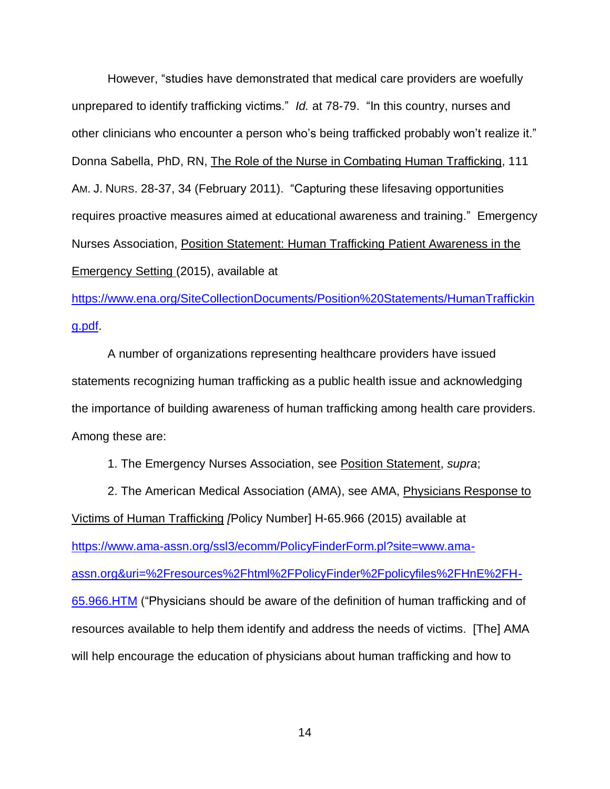However, "studies have demonstrated that medical care providers are woefully unprepared to identify trafficking victims." *Id.* at 78-79. "In this country, nurses and other clinicians who encounter a person who's being trafficked probably won't realize it." Donna Sabella, PhD, RN, The Role of the Nurse in Combating Human Trafficking, 111 AM. J. N[URS](http://www.ncbi.nlm.nih.gov/pubmed/21270581). 28-37, 34 (February 2011). "Capturing these lifesaving opportunities requires proactive measures aimed at educational awareness and training." Emergency Nurses Association, Position Statement: Human Trafficking Patient Awareness in the Emergency Setting (2015), available at

[https://www.ena.org/SiteCollectionDocuments/Position%20Statements/HumanTraffickin](https://www.ena.org/SiteCollectionDocuments/Position%20Statements/HumanTrafficking.pdf) [g.pdf.](https://www.ena.org/SiteCollectionDocuments/Position%20Statements/HumanTrafficking.pdf)

A number of organizations representing healthcare providers have issued statements recognizing human trafficking as a public health issue and acknowledging the importance of building awareness of human trafficking among health care providers. Among these are:

1. The Emergency Nurses Association, see Position Statement, *supra*;

2. The American Medical Association (AMA), see AMA, Physicians Response to Victims of Human Trafficking *[*Policy Number] H-65.966 (2015) available at [https://www.ama-assn.org/ssl3/ecomm/PolicyFinderForm.pl?site=www.ama](https://www.ama-assn.org/ssl3/ecomm/PolicyFinderForm.pl?site=www.ama-assn.org&uri=%2Fresources%2Fhtml%2FPolicyFinder%2Fpolicyfiles%2FHnE%2FH-65.966.HTM)[assn.org&uri=%2Fresources%2Fhtml%2FPolicyFinder%2Fpolicyfiles%2FHnE%2FH-](https://www.ama-assn.org/ssl3/ecomm/PolicyFinderForm.pl?site=www.ama-assn.org&uri=%2Fresources%2Fhtml%2FPolicyFinder%2Fpolicyfiles%2FHnE%2FH-65.966.HTM)[65.966.HTM](https://www.ama-assn.org/ssl3/ecomm/PolicyFinderForm.pl?site=www.ama-assn.org&uri=%2Fresources%2Fhtml%2FPolicyFinder%2Fpolicyfiles%2FHnE%2FH-65.966.HTM) ("Physicians should be aware of the definition of human trafficking and of resources available to help them identify and address the needs of victims. [The] AMA will help encourage the education of physicians about human trafficking and how to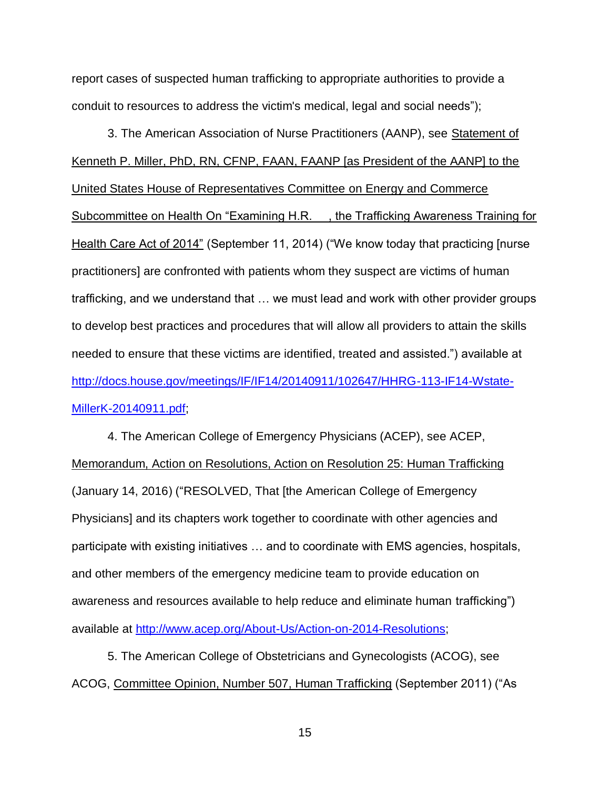report cases of suspected human trafficking to appropriate authorities to provide a conduit to resources to address the victim's medical, legal and social needs");

3. The American Association of Nurse Practitioners (AANP), see Statement of Kenneth P. Miller, PhD, RN, CFNP, FAAN, FAANP [as President of the AANP] to the United States House of Representatives Committee on Energy and Commerce Subcommittee on Health On "Examining H.R. \_\_, the Trafficking Awareness Training for Health Care Act of 2014" (September 11, 2014) ("We know today that practicing [nurse practitioners] are confronted with patients whom they suspect are victims of human trafficking, and we understand that … we must lead and work with other provider groups to develop best practices and procedures that will allow all providers to attain the skills needed to ensure that these victims are identified, treated and assisted.") available at [http://docs.house.gov/meetings/IF/IF14/20140911/102647/HHRG-113-IF14-Wstate-](http://docs.house.gov/meetings/IF/IF14/20140911/102647/HHRG-113-IF14-Wstate-MillerK-20140911.pdf)[MillerK-20140911.pdf;](http://docs.house.gov/meetings/IF/IF14/20140911/102647/HHRG-113-IF14-Wstate-MillerK-20140911.pdf)

4. The American College of Emergency Physicians (ACEP), see ACEP, Memorandum, Action on Resolutions, Action on Resolution 25: Human Trafficking (January 14, 2016) ("RESOLVED, That [the American College of Emergency Physicians] and its chapters work together to coordinate with other agencies and participate with existing initiatives … and to coordinate with EMS agencies, hospitals, and other members of the emergency medicine team to provide education on awareness and resources available to help reduce and eliminate human trafficking") available at [http://www.acep.org/About-Us/Action-on-2014-Resolutions;](http://www.acep.org/About-Us/Action-on-2014-Resolutions)

5. The American College of Obstetricians and Gynecologists (ACOG), see ACOG, Committee Opinion, Number 507, Human Trafficking (September 2011) ("As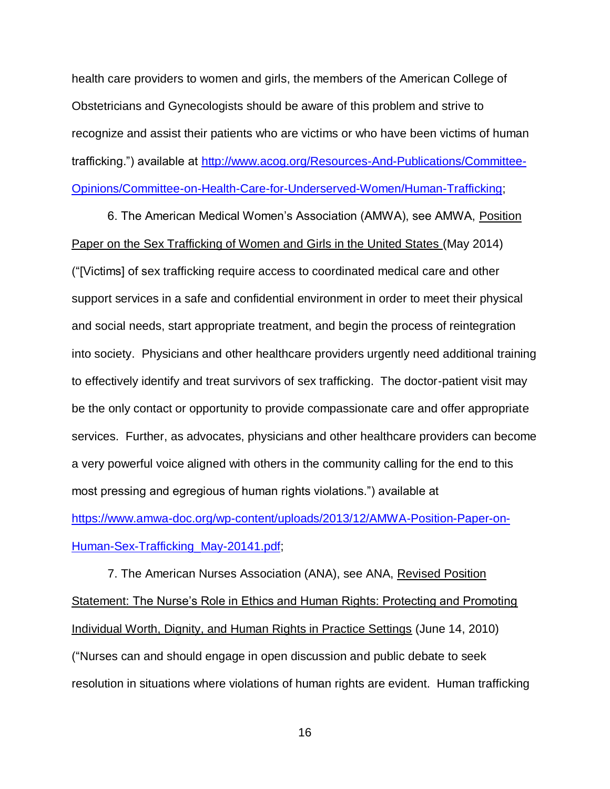health care providers to women and girls, the members of the American College of Obstetricians and Gynecologists should be aware of this problem and strive to recognize and assist their patients who are victims or who have been victims of human trafficking.") available at [http://www.acog.org/Resources-And-Publications/Committee-](http://www.acog.org/Resources-And-Publications/Committee-Opinions/Committee-on-Health-Care-for-Underserved-Women/Human-Trafficking)[Opinions/Committee-on-Health-Care-for-Underserved-Women/Human-Trafficking;](http://www.acog.org/Resources-And-Publications/Committee-Opinions/Committee-on-Health-Care-for-Underserved-Women/Human-Trafficking)

6. The American Medical Women's Association (AMWA), see AMWA, Position Paper on the Sex Trafficking of Women and Girls in the United States (May 2014) ("[Victims] of sex trafficking require access to coordinated medical care and other support services in a safe and confidential environment in order to meet their physical and social needs, start appropriate treatment, and begin the process of reintegration into society. Physicians and other healthcare providers urgently need additional training to effectively identify and treat survivors of sex trafficking. The doctor-patient visit may be the only contact or opportunity to provide compassionate care and offer appropriate services. Further, as advocates, physicians and other healthcare providers can become a very powerful voice aligned with others in the community calling for the end to this most pressing and egregious of human rights violations.") available at [https://www.amwa-doc.org/wp-content/uploads/2013/12/AMWA-Position-Paper-on-](https://www.amwa-doc.org/wp-content/uploads/2013/12/AMWA-Position-Paper-on-Human-Sex-Trafficking_May-20141.pdf)

[Human-Sex-Trafficking\\_May-20141.pdf;](https://www.amwa-doc.org/wp-content/uploads/2013/12/AMWA-Position-Paper-on-Human-Sex-Trafficking_May-20141.pdf)

7. The American Nurses Association (ANA), see ANA, Revised Position Statement: The Nurse's Role in Ethics and Human Rights: Protecting and Promoting Individual Worth, Dignity, and Human Rights in Practice Settings (June 14, 2010) ("Nurses can and should engage in open discussion and public debate to seek resolution in situations where violations of human rights are evident. Human trafficking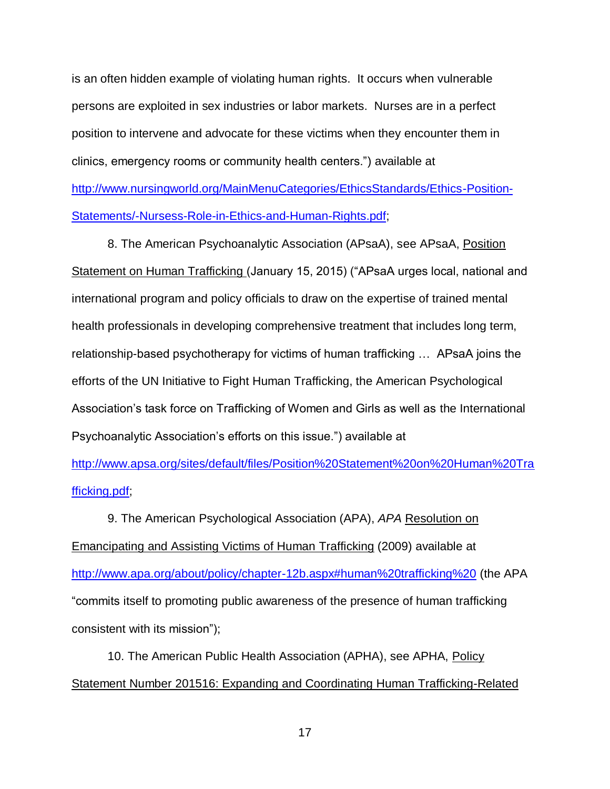is an often hidden example of violating human rights. It occurs when vulnerable persons are exploited in sex industries or labor markets. Nurses are in a perfect position to intervene and advocate for these victims when they encounter them in clinics, emergency rooms or community health centers.") available at [http://www.nursingworld.org/MainMenuCategories/EthicsStandards/Ethics-Position-](http://www.nursingworld.org/MainMenuCategories/EthicsStandards/Ethics-Position-Statements/-Nursess-Role-in-Ethics-and-Human-Rights.pdf)[Statements/-Nursess-Role-in-Ethics-and-Human-Rights.pdf;](http://www.nursingworld.org/MainMenuCategories/EthicsStandards/Ethics-Position-Statements/-Nursess-Role-in-Ethics-and-Human-Rights.pdf)

8. The American Psychoanalytic Association (APsaA), see APsaA, Position Statement on Human Trafficking (January 15, 2015) ("APsaA urges local, national and international program and policy officials to draw on the expertise of trained mental health professionals in developing comprehensive treatment that includes long term, relationship-based psychotherapy for victims of human trafficking … APsaA joins the efforts of the UN Initiative to Fight Human Trafficking, the American Psychological Association's task force on Trafficking of Women and Girls as well as the International Psychoanalytic Association's efforts on this issue.") available at

[http://www.apsa.org/sites/default/files/Position%20Statement%20on%20Human%20Tra](http://www.apsa.org/sites/default/files/Position%20Statement%20on%20Human%20Trafficking.pdf) [fficking.pdf;](http://www.apsa.org/sites/default/files/Position%20Statement%20on%20Human%20Trafficking.pdf)

9. The American Psychological Association (APA), *APA* Resolution on Emancipating and Assisting Victims of Human Trafficking (2009) available at <http://www.apa.org/about/policy/chapter-12b.aspx#human%20trafficking%20> (the APA "commits itself to promoting public awareness of the presence of human trafficking consistent with its mission");

10. The American Public Health Association (APHA), see APHA, Policy Statement Number 201516: Expanding and Coordinating Human Trafficking-Related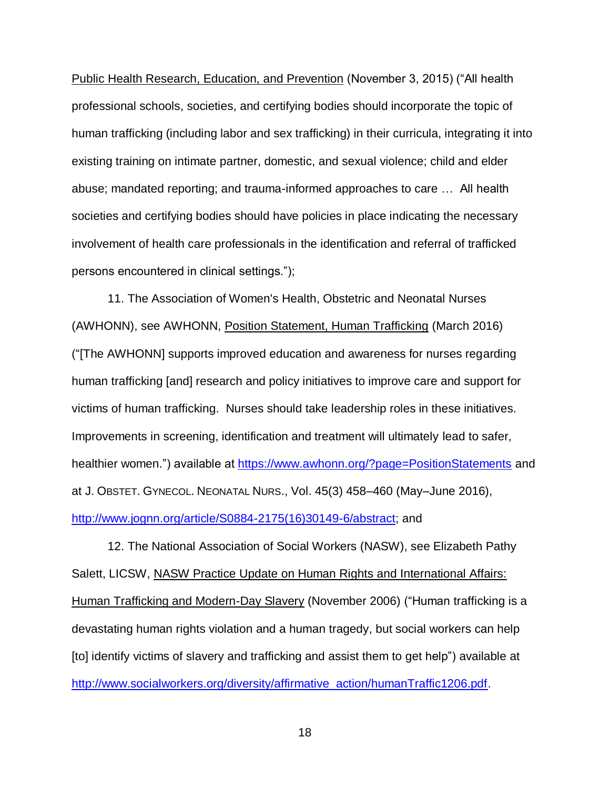Public Health Research, Education, and Prevention (November 3, 2015) ("All health professional schools, societies, and certifying bodies should incorporate the topic of human trafficking (including labor and sex trafficking) in their curricula, integrating it into existing training on intimate partner, domestic, and sexual violence; child and elder abuse; mandated reporting; and trauma-informed approaches to care … All health societies and certifying bodies should have policies in place indicating the necessary involvement of health care professionals in the identification and referral of trafficked persons encountered in clinical settings.");

11. The Association of Women's Health, Obstetric and Neonatal Nurses (AWHONN), see AWHONN, Position Statement, Human Trafficking (March 2016) ("[The AWHONN] supports improved education and awareness for nurses regarding human trafficking [and] research and policy initiatives to improve care and support for victims of human trafficking. Nurses should take leadership roles in these initiatives. Improvements in screening, identification and treatment will ultimately lead to safer, healthier women.") available at<https://www.awhonn.org/?page=PositionStatements> and at J. OBSTET. GYNECOL. NEONATAL NURS., Vol. 45(3) 458–460 (May–June 2016), [http://www.jognn.org/article/S0884-2175\(16\)30149-6/abstract;](http://www.jognn.org/article/S0884-2175(16)30149-6/abstract) and

12. The National Association of Social Workers (NASW), see Elizabeth Pathy Salett, LICSW, NASW Practice Update on Human Rights and International Affairs: Human Trafficking and Modern-Day Slavery (November 2006) ("Human trafficking is a devastating human rights violation and a human tragedy, but social workers can help [to] identify victims of slavery and trafficking and assist them to get help") available at [http://www.socialworkers.org/diversity/affirmative\\_action/humanTraffic1206.pdf.](http://www.socialworkers.org/diversity/affirmative_action/humanTraffic1206.pdf)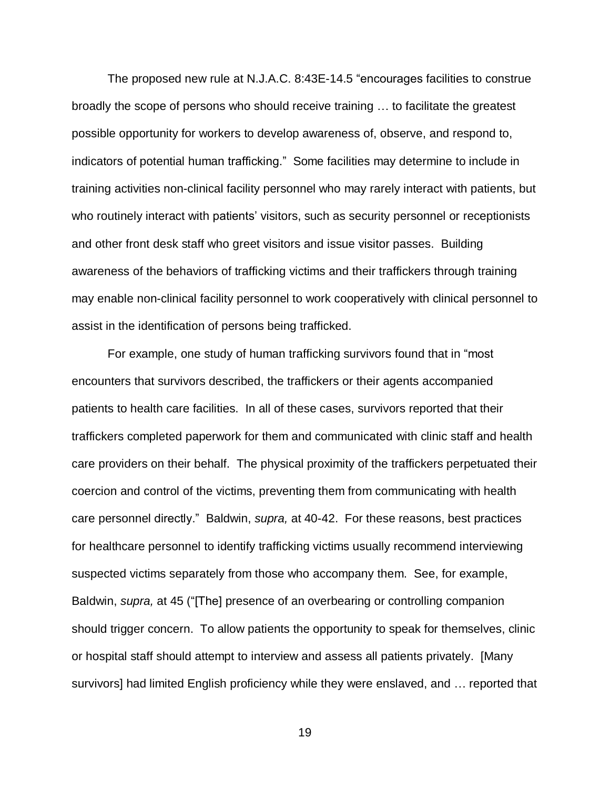The proposed new rule at N.J.A.C. 8:43E-14.5 "encourages facilities to construe broadly the scope of persons who should receive training … to facilitate the greatest possible opportunity for workers to develop awareness of, observe, and respond to, indicators of potential human trafficking." Some facilities may determine to include in training activities non-clinical facility personnel who may rarely interact with patients, but who routinely interact with patients' visitors, such as security personnel or receptionists and other front desk staff who greet visitors and issue visitor passes. Building awareness of the behaviors of trafficking victims and their traffickers through training may enable non-clinical facility personnel to work cooperatively with clinical personnel to assist in the identification of persons being trafficked.

For example, one study of human trafficking survivors found that in "most encounters that survivors described, the traffickers or their agents accompanied patients to health care facilities. In all of these cases, survivors reported that their traffickers completed paperwork for them and communicated with clinic staff and health care providers on their behalf. The physical proximity of the traffickers perpetuated their coercion and control of the victims, preventing them from communicating with health care personnel directly." Baldwin, *supra,* at 40-42. For these reasons, best practices for healthcare personnel to identify trafficking victims usually recommend interviewing suspected victims separately from those who accompany them. See, for example, Baldwin, *supra,* at 45 ("[The] presence of an overbearing or controlling companion should trigger concern. To allow patients the opportunity to speak for themselves, clinic or hospital staff should attempt to interview and assess all patients privately. [Many survivors] had limited English proficiency while they were enslaved, and … reported that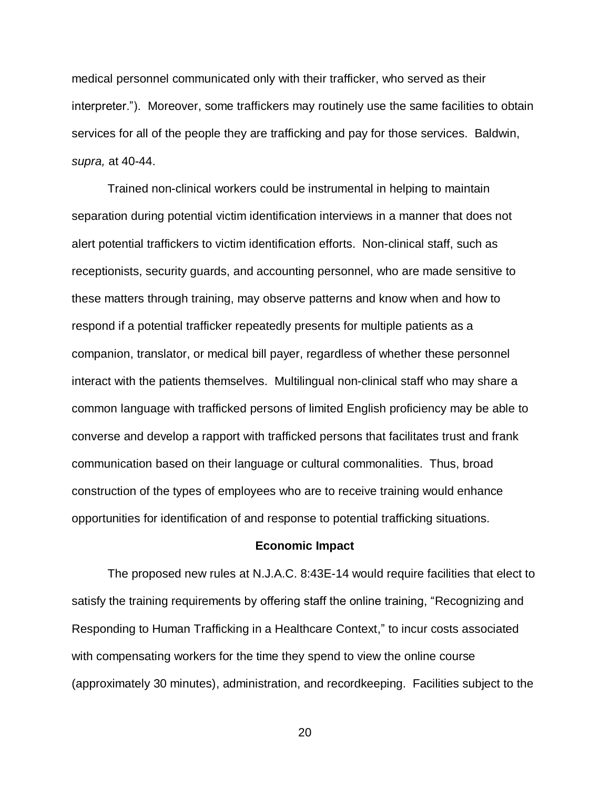medical personnel communicated only with their trafficker, who served as their interpreter."). Moreover, some traffickers may routinely use the same facilities to obtain services for all of the people they are trafficking and pay for those services. Baldwin, *supra,* at 40-44.

Trained non-clinical workers could be instrumental in helping to maintain separation during potential victim identification interviews in a manner that does not alert potential traffickers to victim identification efforts. Non-clinical staff, such as receptionists, security guards, and accounting personnel, who are made sensitive to these matters through training, may observe patterns and know when and how to respond if a potential trafficker repeatedly presents for multiple patients as a companion, translator, or medical bill payer, regardless of whether these personnel interact with the patients themselves. Multilingual non-clinical staff who may share a common language with trafficked persons of limited English proficiency may be able to converse and develop a rapport with trafficked persons that facilitates trust and frank communication based on their language or cultural commonalities. Thus, broad construction of the types of employees who are to receive training would enhance opportunities for identification of and response to potential trafficking situations.

### **Economic Impact**

The proposed new rules at N.J.A.C. 8:43E-14 would require facilities that elect to satisfy the training requirements by offering staff the online training, "Recognizing and Responding to Human Trafficking in a Healthcare Context," to incur costs associated with compensating workers for the time they spend to view the online course (approximately 30 minutes), administration, and recordkeeping. Facilities subject to the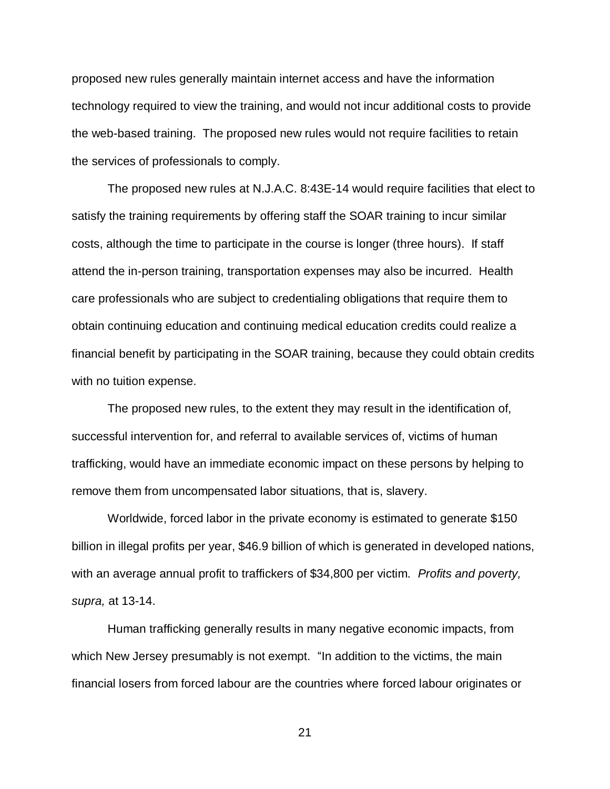proposed new rules generally maintain internet access and have the information technology required to view the training, and would not incur additional costs to provide the web-based training. The proposed new rules would not require facilities to retain the services of professionals to comply.

The proposed new rules at N.J.A.C. 8:43E-14 would require facilities that elect to satisfy the training requirements by offering staff the SOAR training to incur similar costs, although the time to participate in the course is longer (three hours). If staff attend the in-person training, transportation expenses may also be incurred. Health care professionals who are subject to credentialing obligations that require them to obtain continuing education and continuing medical education credits could realize a financial benefit by participating in the SOAR training, because they could obtain credits with no tuition expense.

The proposed new rules, to the extent they may result in the identification of, successful intervention for, and referral to available services of, victims of human trafficking, would have an immediate economic impact on these persons by helping to remove them from uncompensated labor situations, that is, slavery.

Worldwide, forced labor in the private economy is estimated to generate \$150 billion in illegal profits per year, \$46.9 billion of which is generated in developed nations, with an average annual profit to traffickers of \$34,800 per victim. *Profits and poverty, supra,* at 13-14.

Human trafficking generally results in many negative economic impacts, from which New Jersey presumably is not exempt. "In addition to the victims, the main financial losers from forced labour are the countries where forced labour originates or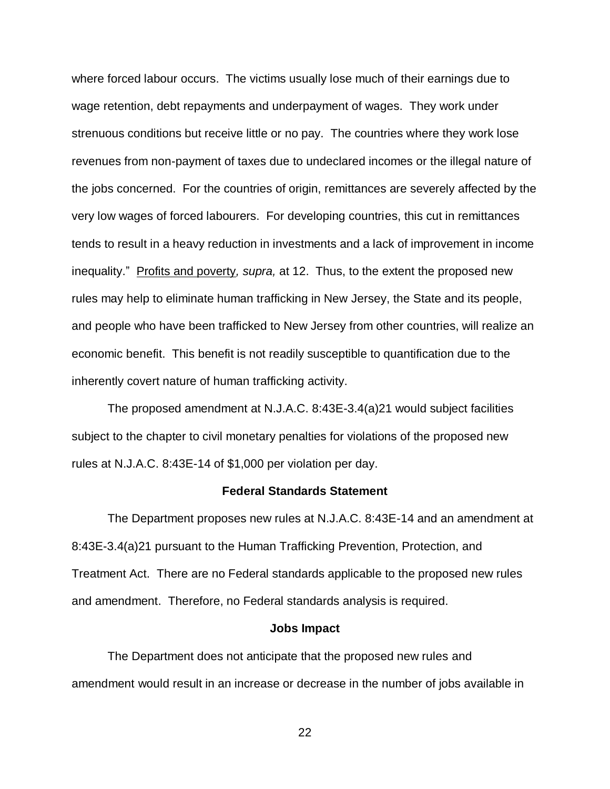where forced labour occurs. The victims usually lose much of their earnings due to wage retention, debt repayments and underpayment of wages. They work under strenuous conditions but receive little or no pay. The countries where they work lose revenues from non-payment of taxes due to undeclared incomes or the illegal nature of the jobs concerned. For the countries of origin, remittances are severely affected by the very low wages of forced labourers. For developing countries, this cut in remittances tends to result in a heavy reduction in investments and a lack of improvement in income inequality." Profits and poverty*, supra,* at 12. Thus, to the extent the proposed new rules may help to eliminate human trafficking in New Jersey, the State and its people, and people who have been trafficked to New Jersey from other countries, will realize an economic benefit. This benefit is not readily susceptible to quantification due to the inherently covert nature of human trafficking activity.

The proposed amendment at N.J.A.C. 8:43E-3.4(a)21 would subject facilities subject to the chapter to civil monetary penalties for violations of the proposed new rules at N.J.A.C. 8:43E-14 of \$1,000 per violation per day.

## **Federal Standards Statement**

The Department proposes new rules at N.J.A.C. 8:43E-14 and an amendment at 8:43E-3.4(a)21 pursuant to the Human Trafficking Prevention, Protection, and Treatment Act. There are no Federal standards applicable to the proposed new rules and amendment. Therefore, no Federal standards analysis is required.

#### **Jobs Impact**

The Department does not anticipate that the proposed new rules and amendment would result in an increase or decrease in the number of jobs available in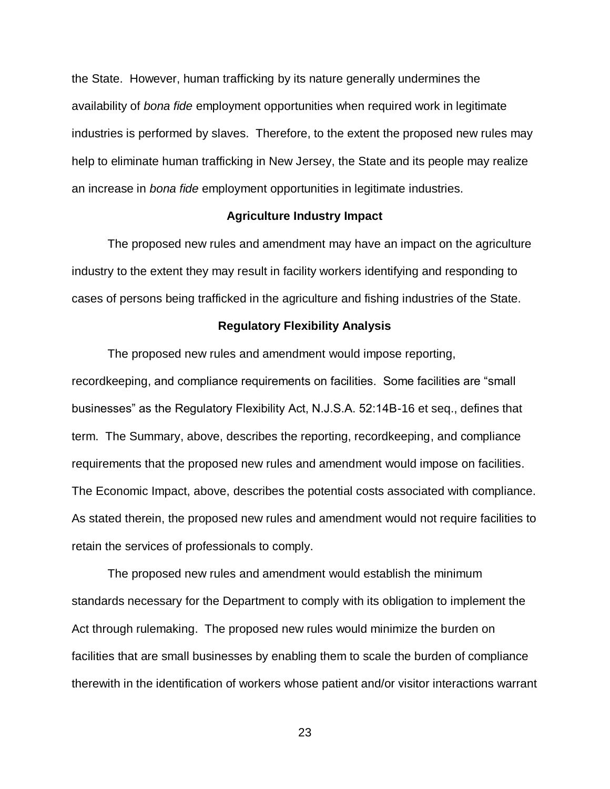the State. However, human trafficking by its nature generally undermines the availability of *bona fide* employment opportunities when required work in legitimate industries is performed by slaves. Therefore, to the extent the proposed new rules may help to eliminate human trafficking in New Jersey, the State and its people may realize an increase in *bona fide* employment opportunities in legitimate industries.

## **Agriculture Industry Impact**

The proposed new rules and amendment may have an impact on the agriculture industry to the extent they may result in facility workers identifying and responding to cases of persons being trafficked in the agriculture and fishing industries of the State.

## **Regulatory Flexibility Analysis**

The proposed new rules and amendment would impose reporting, recordkeeping, and compliance requirements on facilities. Some facilities are "small businesses" as the Regulatory Flexibility Act, N.J.S.A. 52:14B-16 et seq., defines that term. The Summary, above, describes the reporting, recordkeeping, and compliance requirements that the proposed new rules and amendment would impose on facilities. The Economic Impact, above, describes the potential costs associated with compliance. As stated therein, the proposed new rules and amendment would not require facilities to retain the services of professionals to comply.

The proposed new rules and amendment would establish the minimum standards necessary for the Department to comply with its obligation to implement the Act through rulemaking. The proposed new rules would minimize the burden on facilities that are small businesses by enabling them to scale the burden of compliance therewith in the identification of workers whose patient and/or visitor interactions warrant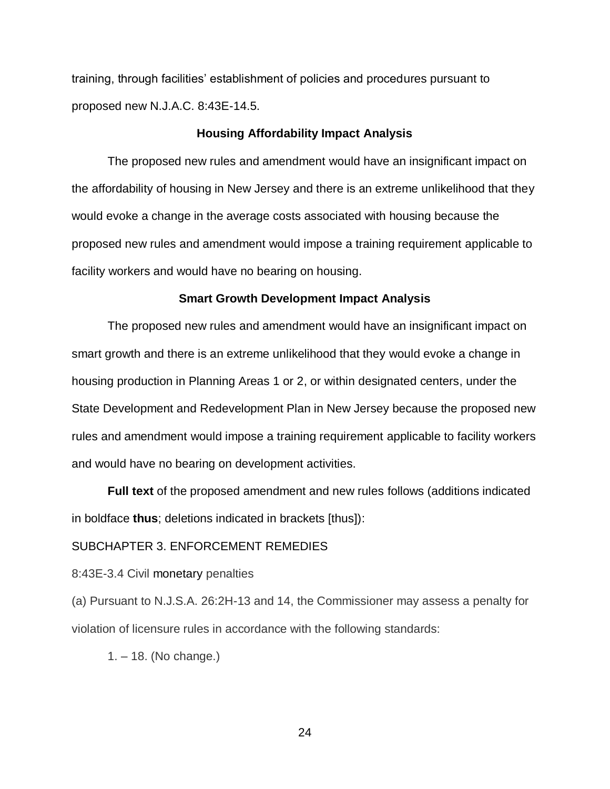training, through facilities' establishment of policies and procedures pursuant to proposed new N.J.A.C. 8:43E-14.5.

### **Housing Affordability Impact Analysis**

The proposed new rules and amendment would have an insignificant impact on the affordability of housing in New Jersey and there is an extreme unlikelihood that they would evoke a change in the average costs associated with housing because the proposed new rules and amendment would impose a training requirement applicable to facility workers and would have no bearing on housing.

### **Smart Growth Development Impact Analysis**

The proposed new rules and amendment would have an insignificant impact on smart growth and there is an extreme unlikelihood that they would evoke a change in housing production in Planning Areas 1 or 2, or within designated centers, under the State Development and Redevelopment Plan in New Jersey because the proposed new rules and amendment would impose a training requirement applicable to facility workers and would have no bearing on development activities.

**Full text** of the proposed amendment and new rules follows (additions indicated in boldface **thus**; deletions indicated in brackets [thus]):

# SUBCHAPTER 3. ENFORCEMENT REMEDIES

#### 8:43E-3.4 Civil monetary penalties

(a) Pursuant to N.J.S.A. 26:2H-13 and 14, the Commissioner may assess a penalty for violation of licensure rules in accordance with the following standards:

1. – 18. (No change.)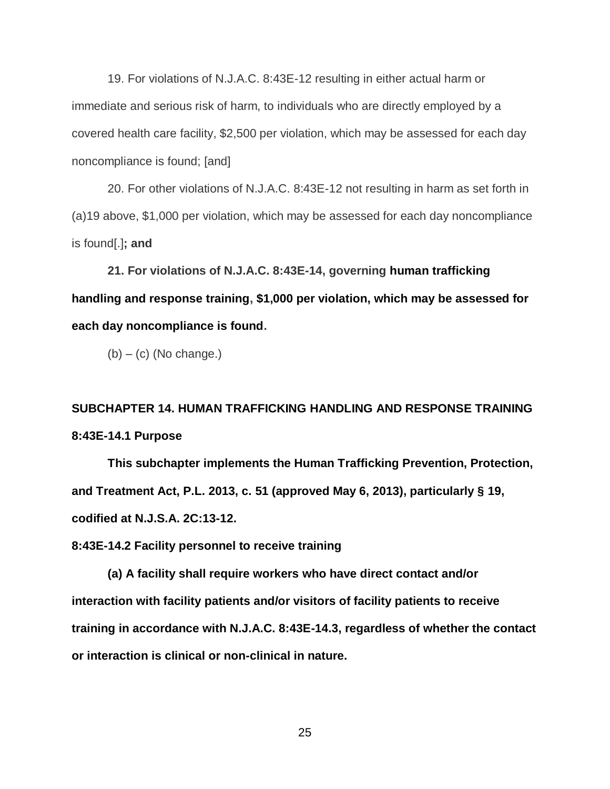19. For violations of N.J.A.C. 8:43E-12 resulting in either actual harm or immediate and serious risk of harm, to individuals who are directly employed by a covered health care facility, \$2,500 per violation, which may be assessed for each day noncompliance is found; [and]

20. For other violations of N.J.A.C. 8:43E-12 not resulting in harm as set forth in (a)19 above, \$1,000 per violation, which may be assessed for each day noncompliance is found[.]**; and**

**21. For violations of N.J.A.C. 8:43E-14, governing human trafficking handling and response training, \$1,000 per violation, which may be assessed for each day noncompliance is found.**

 $(b) - (c)$  (No change.)

**SUBCHAPTER 14. HUMAN TRAFFICKING HANDLING AND RESPONSE TRAINING 8:43E-14.1 Purpose**

**This subchapter implements the Human Trafficking Prevention, Protection, and Treatment Act, P.L. 2013, c. 51 (approved May 6, 2013), particularly § 19, codified at N.J.S.A. 2C:13-12.**

**8:43E-14.2 Facility personnel to receive training**

**(a) A facility shall require workers who have direct contact and/or interaction with facility patients and/or visitors of facility patients to receive training in accordance with N.J.A.C. 8:43E-14.3, regardless of whether the contact or interaction is clinical or non-clinical in nature.**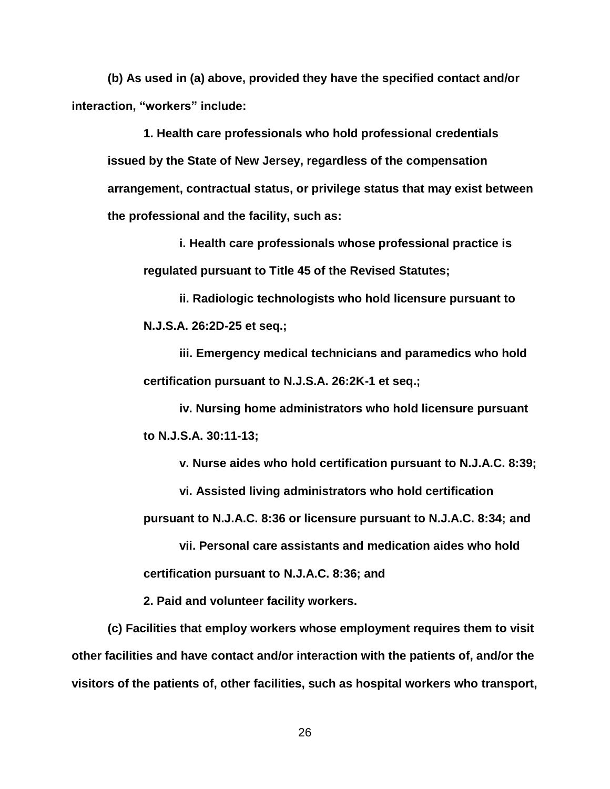**(b) As used in (a) above, provided they have the specified contact and/or interaction, "workers" include:**

**1. Health care professionals who hold professional credentials issued by the State of New Jersey, regardless of the compensation arrangement, contractual status, or privilege status that may exist between the professional and the facility, such as:**

**i. Health care professionals whose professional practice is regulated pursuant to Title 45 of the Revised Statutes;**

**ii. Radiologic technologists who hold licensure pursuant to N.J.S.A. 26:2D-25 et seq.;**

**iii. Emergency medical technicians and paramedics who hold certification pursuant to N.J.S.A. 26:2K-1 et seq.;**

**iv. Nursing home administrators who hold licensure pursuant to N.J.S.A. 30:11-13;**

**v. Nurse aides who hold certification pursuant to N.J.A.C. 8:39;**

**vi. Assisted living administrators who hold certification** 

**pursuant to N.J.A.C. 8:36 or licensure pursuant to N.J.A.C. 8:34; and**

**vii. Personal care assistants and medication aides who hold certification pursuant to N.J.A.C. 8:36; and**

**2. Paid and volunteer facility workers.**

**(c) Facilities that employ workers whose employment requires them to visit other facilities and have contact and/or interaction with the patients of, and/or the visitors of the patients of, other facilities, such as hospital workers who transport,**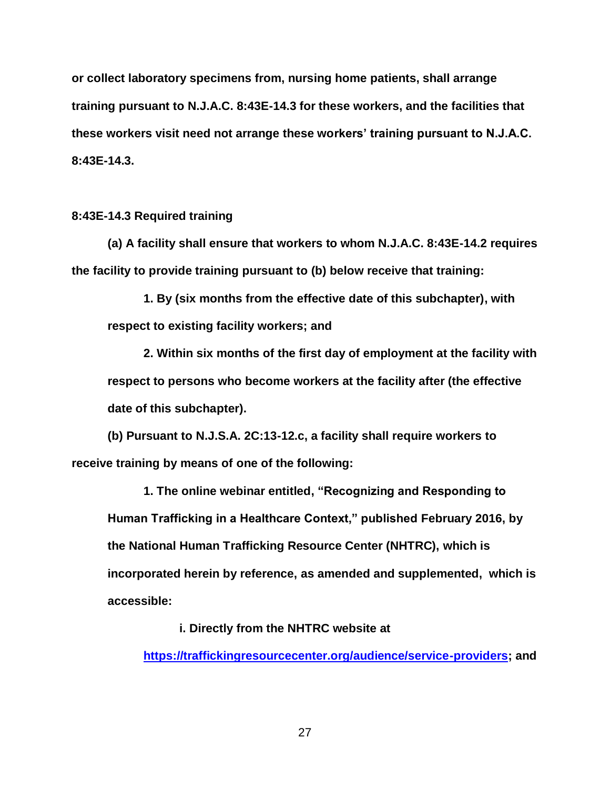**or collect laboratory specimens from, nursing home patients, shall arrange training pursuant to N.J.A.C. 8:43E-14.3 for these workers, and the facilities that these workers visit need not arrange these workers' training pursuant to N.J.A.C. 8:43E-14.3.**

**8:43E-14.3 Required training**

**(a) A facility shall ensure that workers to whom N.J.A.C. 8:43E-14.2 requires the facility to provide training pursuant to (b) below receive that training:**

**1. By (six months from the effective date of this subchapter), with respect to existing facility workers; and**

**2. Within six months of the first day of employment at the facility with respect to persons who become workers at the facility after (the effective date of this subchapter).**

**(b) Pursuant to N.J.S.A. 2C:13-12.c, a facility shall require workers to receive training by means of one of the following:**

**1. The online webinar entitled, "Recognizing and Responding to Human Trafficking in a Healthcare Context," published February 2016, by the National Human Trafficking Resource Center (NHTRC), which is incorporated herein by reference, as amended and supplemented, which is accessible:**

**i. Directly from the NHTRC website at** 

**[https://traffickingresourcecenter.org/audience/service-providers;](https://traffickingresourcecenter.org/audience/service-providers) and**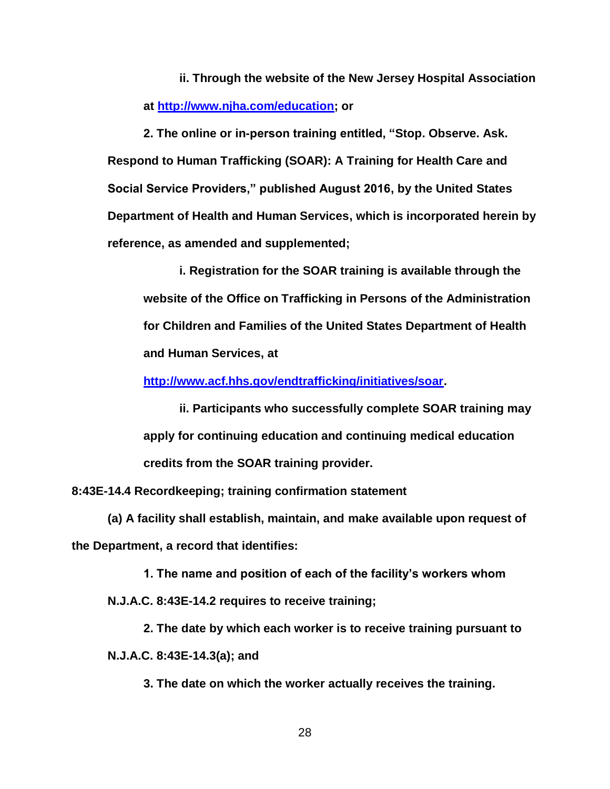**ii. Through the website of the New Jersey Hospital Association at [http://www.njha.com/education;](http://www.njha.com/education) or**

**2. The online or in-person training entitled, "Stop. Observe. Ask. Respond to Human Trafficking (SOAR): A Training for Health Care and Social Service Providers," published August 2016, by the United States Department of Health and Human Services, which is incorporated herein by reference, as amended and supplemented;**

**i. Registration for the SOAR training is available through the website of the Office on Trafficking in Persons of the Administration for Children and Families of the United States Department of Health and Human Services, at** 

**[http://www.acf.hhs.gov/endtrafficking/initiatives/soar.](http://www.acf.hhs.gov/endtrafficking/initiatives/soar)**

**ii. Participants who successfully complete SOAR training may apply for continuing education and continuing medical education credits from the SOAR training provider.**

**8:43E-14.4 Recordkeeping; training confirmation statement**

**(a) A facility shall establish, maintain, and make available upon request of the Department, a record that identifies:**

**1. The name and position of each of the facility's workers whom** 

**N.J.A.C. 8:43E-14.2 requires to receive training;**

**2. The date by which each worker is to receive training pursuant to N.J.A.C. 8:43E-14.3(a); and**

**3. The date on which the worker actually receives the training.**